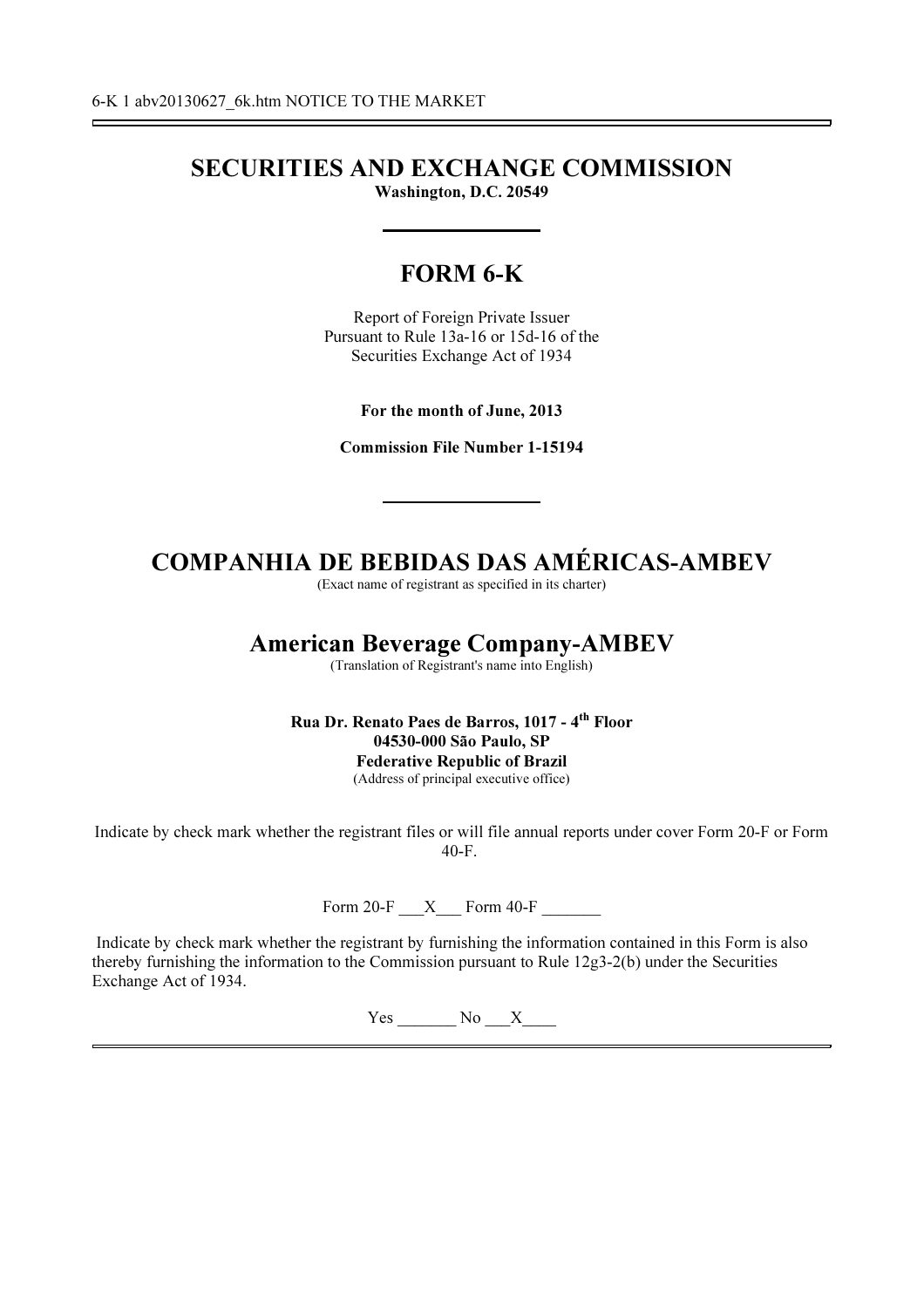# SECURITIES AND EXCHANGE COMMISSION Washington, D.C. 20549

# FORM 6-K

Report of Foreign Private Issuer Pursuant to Rule 13a-16 or 15d-16 of the Securities Exchange Act of 1934

For the month of June, 2013

Commission File Number 1-15194

# COMPANHIA DE BEBIDAS DAS AMÉRICAS-AMBEV

(Exact name of registrant as specified in its charter)

# American Beverage Company-AMBEV

(Translation of Registrant's name into English)

Rua Dr. Renato Paes de Barros, 1017 - 4th Floor 04530-000 São Paulo, SP Federative Republic of Brazil (Address of principal executive office)

Indicate by check mark whether the registrant files or will file annual reports under cover Form 20-F or Form 40-F.

Form 20-F  $\quad$  X  $\quad$  Form 40-F

Indicate by check mark whether the registrant by furnishing the information contained in this Form is also thereby furnishing the information to the Commission pursuant to Rule 12g3-2(b) under the Securities Exchange Act of 1934.

Yes No X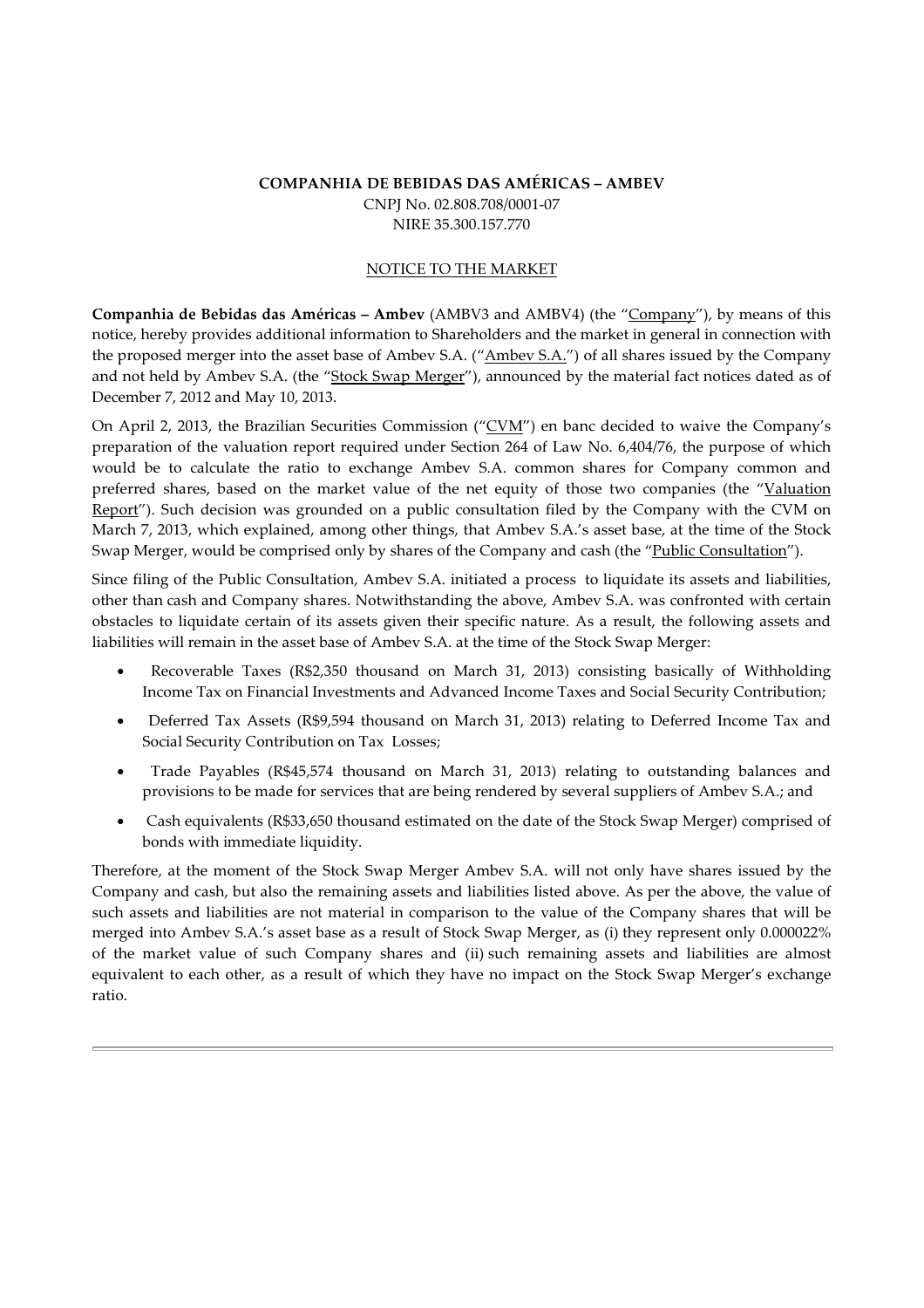## COMPANHIA DE BEBIDAS DAS AMÉRICAS – AMBEV CNPJ No. 02.808.708/0001-07 NIRE 35.300.157.770

## NOTICE TO THE MARKET

Companhia de Bebidas das Américas – Ambev (AMBV3 and AMBV4) (the "Company"), by means of this notice, hereby provides additional information to Shareholders and the market in general in connection with the proposed merger into the asset base of Ambev S.A. ("Ambev S.A.") of all shares issued by the Company and not held by Ambev S.A. (the "Stock Swap Merger"), announced by the material fact notices dated as of December 7, 2012 and May 10, 2013.

On April 2, 2013, the Brazilian Securities Commission ("CVM") en banc decided to waive the Company's preparation of the valuation report required under Section 264 of Law No. 6,404/76, the purpose of which would be to calculate the ratio to exchange Ambev S.A. common shares for Company common and preferred shares, based on the market value of the net equity of those two companies (the "Valuation Report"). Such decision was grounded on a public consultation filed by the Company with the CVM on March 7, 2013, which explained, among other things, that Ambev S.A.'s asset base, at the time of the Stock Swap Merger, would be comprised only by shares of the Company and cash (the "Public Consultation").

Since filing of the Public Consultation, Ambev S.A. initiated a process to liquidate its assets and liabilities, other than cash and Company shares. Notwithstanding the above, Ambev S.A. was confronted with certain obstacles to liquidate certain of its assets given their specific nature. As a result, the following assets and liabilities will remain in the asset base of Ambev S.A. at the time of the Stock Swap Merger:

- Recoverable Taxes (R\$2,350 thousand on March 31, 2013) consisting basically of Withholding Income Tax on Financial Investments and Advanced Income Taxes and Social Security Contribution;
- Deferred Tax Assets (R\$9,594 thousand on March 31, 2013) relating to Deferred Income Tax and Social Security Contribution on Tax Losses;
- Trade Payables (R\$45,574 thousand on March 31, 2013) relating to outstanding balances and provisions to be made for services that are being rendered by several suppliers of Ambev S.A.; and
- Cash equivalents (R\$33,650 thousand estimated on the date of the Stock Swap Merger) comprised of bonds with immediate liquidity.

Therefore, at the moment of the Stock Swap Merger Ambev S.A. will not only have shares issued by the Company and cash, but also the remaining assets and liabilities listed above. As per the above, the value of such assets and liabilities are not material in comparison to the value of the Company shares that will be merged into Ambev S.A.'s asset base as a result of Stock Swap Merger, as (i) they represent only 0.000022% of the market value of such Company shares and (ii) such remaining assets and liabilities are almost equivalent to each other, as a result of which they have no impact on the Stock Swap Merger's exchange ratio.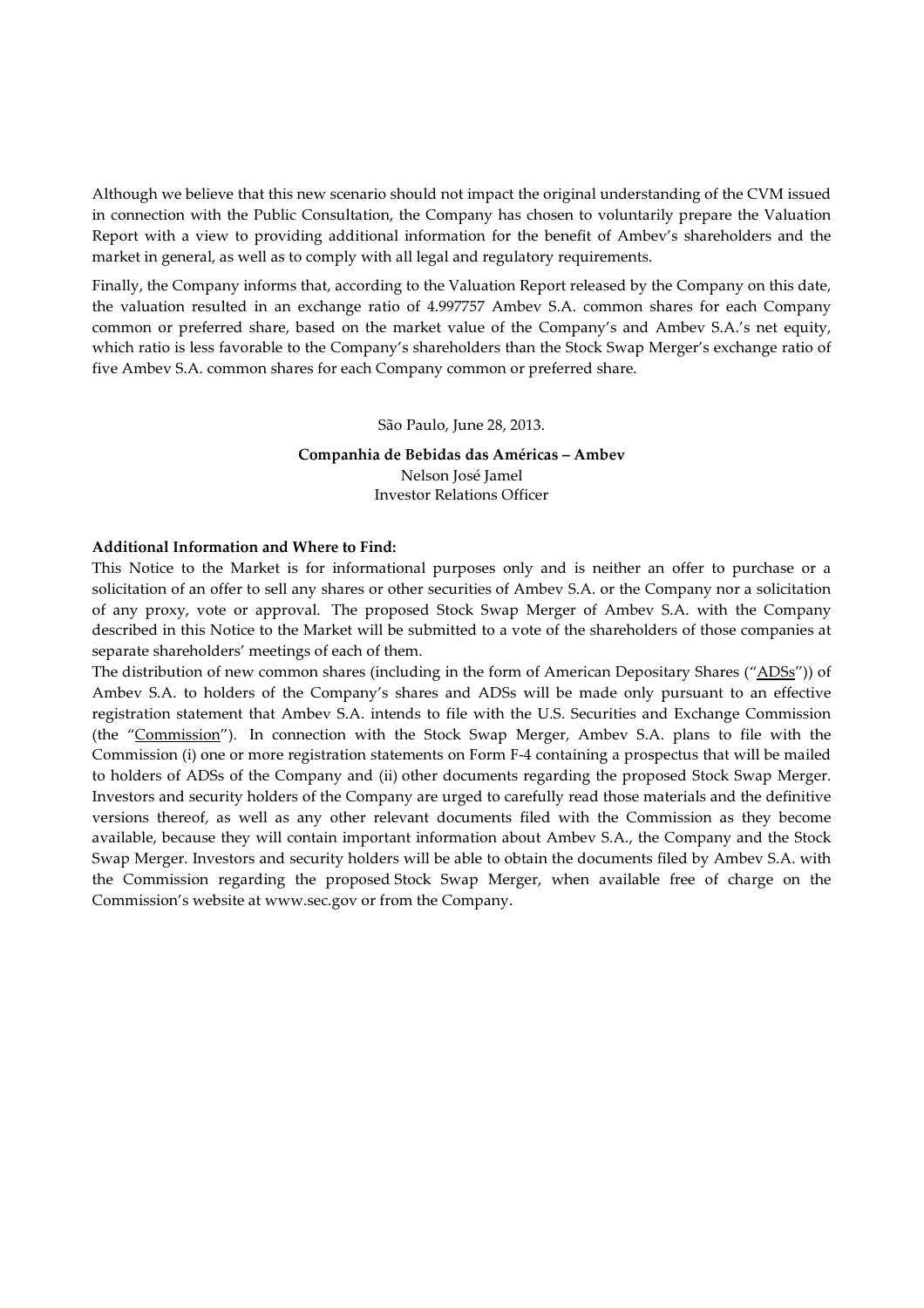Although we believe that this new scenario should not impact the original understanding of the CVM issued in connection with the Public Consultation, the Company has chosen to voluntarily prepare the Valuation Report with a view to providing additional information for the benefit of Ambev's shareholders and the market in general, as well as to comply with all legal and regulatory requirements.

Finally, the Company informs that, according to the Valuation Report released by the Company on this date, the valuation resulted in an exchange ratio of 4.997757 Ambev S.A. common shares for each Company common or preferred share, based on the market value of the Company's and Ambev S.A.'s net equity, which ratio is less favorable to the Company's shareholders than the Stock Swap Merger's exchange ratio of five Ambev S.A. common shares for each Company common or preferred share.

#### São Paulo, June 28, 2013.

# Companhia de Bebidas das Américas – Ambev Nelson José Jamel Investor Relations Officer

### Additional Information and Where to Find:

This Notice to the Market is for informational purposes only and is neither an offer to purchase or a solicitation of an offer to sell any shares or other securities of Ambev S.A. or the Company nor a solicitation of any proxy, vote or approval. The proposed Stock Swap Merger of Ambev S.A. with the Company described in this Notice to the Market will be submitted to a vote of the shareholders of those companies at separate shareholders' meetings of each of them.

The distribution of new common shares (including in the form of American Depositary Shares ("ADSs")) of Ambev S.A. to holders of the Company's shares and ADSs will be made only pursuant to an effective registration statement that Ambev S.A. intends to file with the U.S. Securities and Exchange Commission (the "Commission"). In connection with the Stock Swap Merger, Ambev S.A. plans to file with the Commission (i) one or more registration statements on Form F-4 containing a prospectus that will be mailed to holders of ADSs of the Company and (ii) other documents regarding the proposed Stock Swap Merger. Investors and security holders of the Company are urged to carefully read those materials and the definitive versions thereof, as well as any other relevant documents filed with the Commission as they become available, because they will contain important information about Ambev S.A., the Company and the Stock Swap Merger. Investors and security holders will be able to obtain the documents filed by Ambev S.A. with the Commission regarding the proposed Stock Swap Merger, when available free of charge on the Commission's website at www.sec.gov or from the Company.